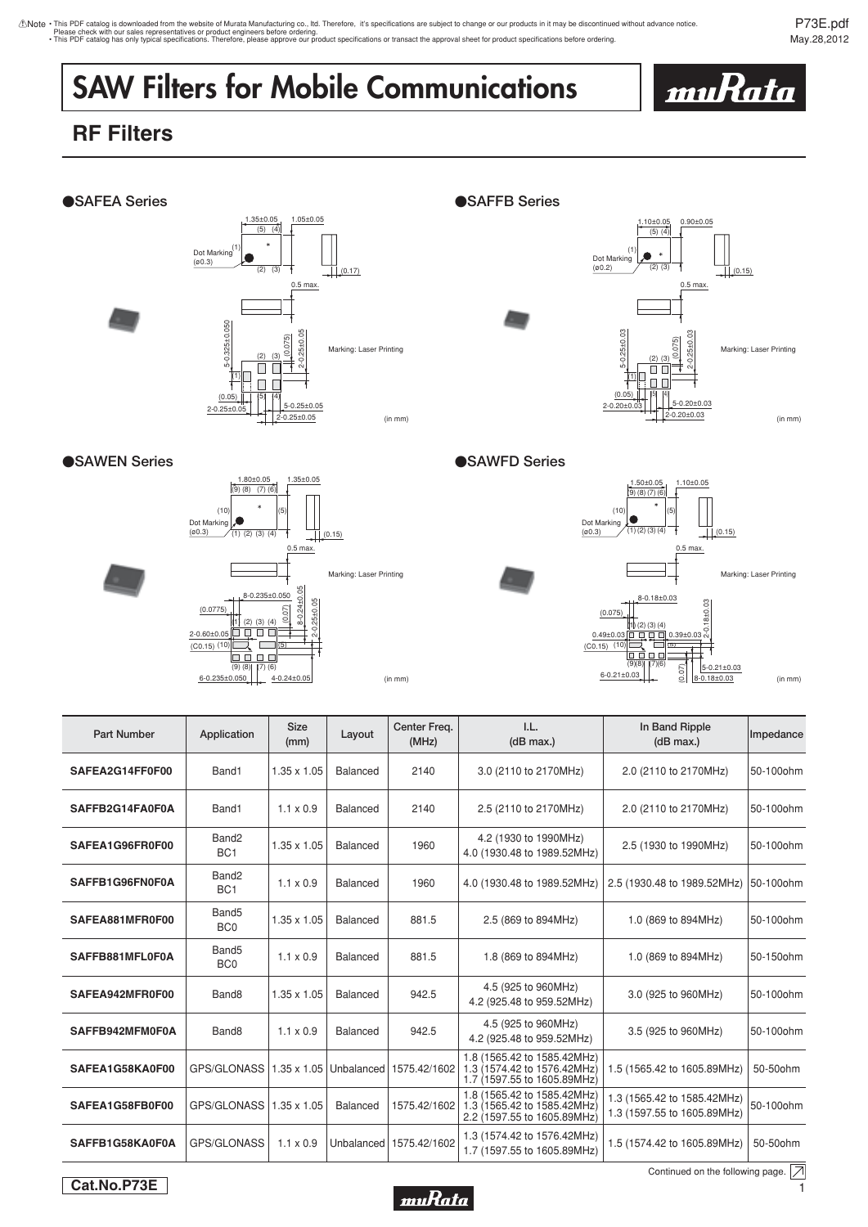thote • This PDF catalog is downloaded from the website of Murata Manufacturing co., Itd. Therefore, it's specifications are subject to change or our products in it may be discontinued without advance notice.<br>Please check

P73E.pdf May.28,2012

<u>muRata</u>

## **SAW Filters for Mobile Communications**

## **RF Filters**



| <b>Part Number</b> | Application                          | <b>Size</b><br>(mm) | Layout          | Center Freq.<br>(MHz)     | I.L.<br>(dB max.)                                                                         | In Band Ripple<br>(dB max.)                                | Impedance             |
|--------------------|--------------------------------------|---------------------|-----------------|---------------------------|-------------------------------------------------------------------------------------------|------------------------------------------------------------|-----------------------|
| SAFEA2G14FF0F00    | Band1                                | $1.35 \times 1.05$  | Balanced        | 2140                      | 3.0 (2110 to 2170MHz)                                                                     | 2.0 (2110 to 2170MHz)                                      | 50-100ohm             |
| SAFFB2G14FA0F0A    | Band1                                | $1.1 \times 0.9$    | <b>Balanced</b> | 2140                      | 2.5 (2110 to 2170MHz)                                                                     | 2.0 (2110 to 2170MHz)                                      | 50-100 <sub>ohm</sub> |
| SAFEA1G96FR0F00    | Band <sub>2</sub><br>BC <sub>1</sub> | $1.35 \times 1.05$  | Balanced        | 1960                      | 4.2 (1930 to 1990MHz)<br>4.0 (1930.48 to 1989.52MHz)                                      | 2.5 (1930 to 1990MHz)                                      | 50-100ohm             |
| SAFFB1G96FN0F0A    | Band <sub>2</sub><br>BC <sub>1</sub> | $1.1 \times 0.9$    | Balanced        | 1960                      | 4.0 (1930.48 to 1989.52MHz)                                                               | 2.5 (1930.48 to 1989.52MHz)                                | 50-100ohm             |
| SAFEA881MFR0F00    | Band <sub>5</sub><br>BC <sub>0</sub> | $1.35 \times 1.05$  | <b>Balanced</b> | 881.5                     | 2.5 (869 to 894MHz)                                                                       | 1.0 (869 to 894MHz)                                        | 50-100ohm             |
| SAFFB881MFL0F0A    | Band <sub>5</sub><br>BC <sub>0</sub> | $1.1 \times 0.9$    | Balanced        | 881.5                     | 1.8 (869 to 894MHz)                                                                       | 1.0 (869 to 894MHz)                                        | 50-150ohm             |
| SAFEA942MFR0F00    | Band <sub>8</sub>                    | $1.35 \times 1.05$  | Balanced        | 942.5                     | 4.5 (925 to 960MHz)<br>4.2 (925.48 to 959.52MHz)                                          | 3.0 (925 to 960MHz)                                        | 50-100ohm             |
| SAFFB942MFM0F0A    | Band <sub>8</sub>                    | $1.1 \times 0.9$    | Balanced        | 942.5                     | 4.5 (925 to 960MHz)<br>4.2 (925.48 to 959.52MHz)                                          | 3.5 (925 to 960MHz)                                        | 50-100ohm             |
| SAFEA1G58KA0F00    | GPS/GLONASS 1.35 x 1.05              |                     | Unbalanced      | 1575.42/1602              | 1.8 (1565.42 to 1585.42MHz)<br>1.3 (1574.42 to 1576.42MHz)<br>1.7 (1597.55 to 1605.89MHz) | 1.5 (1565.42 to 1605.89MHz)                                | 50-50ohm              |
| SAFEA1G58FB0F00    | GPS/GLONASS 1.35 x 1.05              |                     | Balanced        | 1575.42/1602              | 1.8 (1565.42 to 1585.42MHz)<br>1.3 (1565.42 to 1585.42MHz)<br>2.2 (1597.55 to 1605.89MHz) | 1.3 (1565.42 to 1585.42MHz)<br>1.3 (1597.55 to 1605.89MHz) | 50-100ohm             |
| SAFFB1G58KA0F0A    | GPS/GLONASS                          | $1.1 \times 0.9$    |                 | Unbalanced   1575.42/1602 | 1.3 (1574.42 to 1576.42MHz)<br>1.7 (1597.55 to 1605.89MHz)                                | 1.5 (1574.42 to 1605.89MHz)                                | 50-50ohm              |



Continued on the following page.  $\boxed{\overline{\nearrow}}$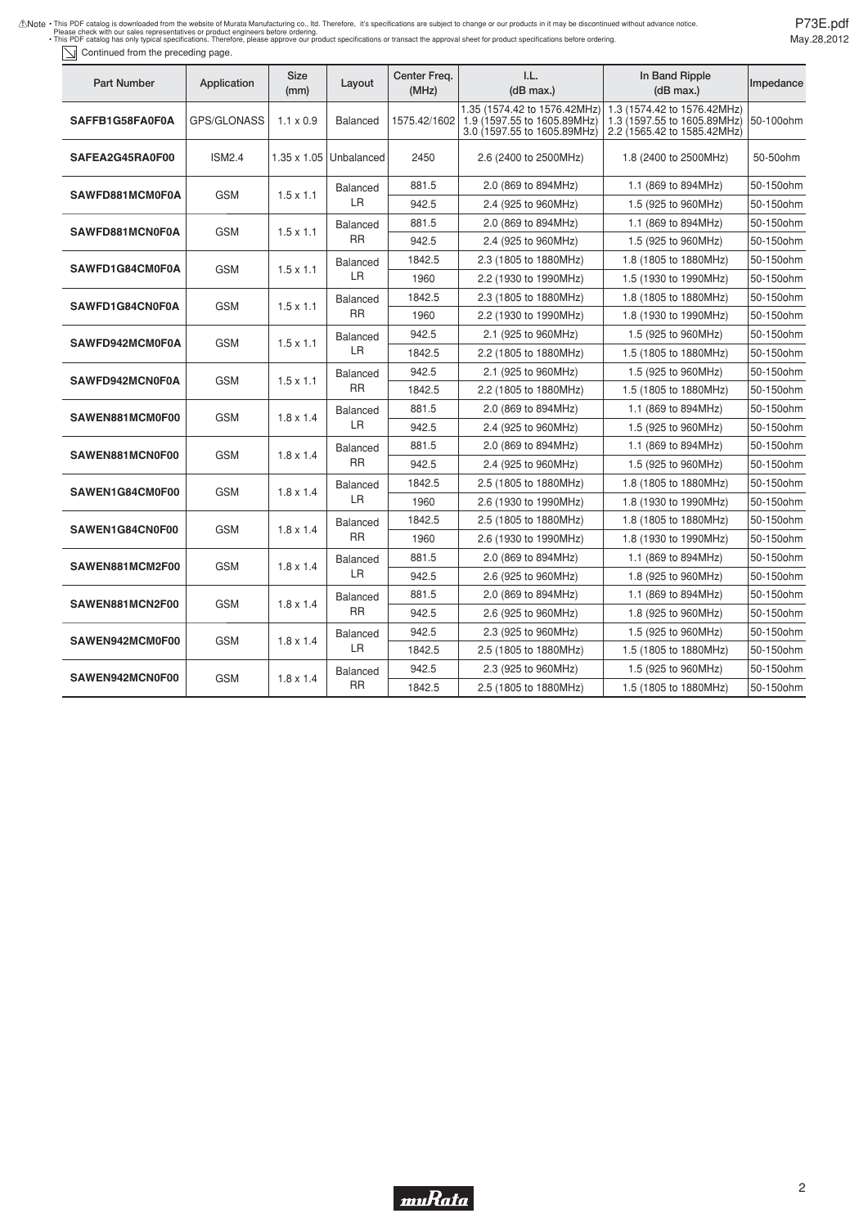| This PDF catalog is downloaded from the website of Murata Manufacturing co., ltd. Therefore, it's specifications are subject to change or our products in it may be discontinued without advance notice. |
|----------------------------------------------------------------------------------------------------------------------------------------------------------------------------------------------------------|
| Please check with our sales representatives or product engineers before ordering.                                                                                                                        |
| . This PDF catalog has only typical specifications. Therefore, please approve our product specifications or transact the approval sheet for product specifications before ordering.                      |

Continued from the preceding page.

| Part Number            | Application                                       | Size<br>(mm)       | Layout                       | Center Freg.<br>(MHz) | 1.L.<br>(dB max.)                                                                          | In Band Ripple<br>(dB max.)                                                               | Impedance |
|------------------------|---------------------------------------------------|--------------------|------------------------------|-----------------------|--------------------------------------------------------------------------------------------|-------------------------------------------------------------------------------------------|-----------|
| <b>SAFFB1G58FA0F0A</b> | GPS/GLONASS                                       | $1.1 \times 0.9$   | <b>Balanced</b>              | 1575.42/1602          | 1.35 (1574.42 to 1576.42MHz)<br>1.9 (1597.55 to 1605.89MHz)<br>3.0 (1597.55 to 1605.89MHz) | 1.3 (1574.42 to 1576.42MHz)<br>1.3 (1597.55 to 1605.89MHz)<br>2.2 (1565.42 to 1585.42MHz) | 50-100ohm |
| SAFEA2G45RA0F00        | <b>ISM2.4</b>                                     | $1.35 \times 1.05$ | Unbalanced                   | 2450                  | 2.6 (2400 to 2500MHz)                                                                      | 1.8 (2400 to 2500MHz)                                                                     | 50-50ohm  |
| SAWFD881MCM0F0A        | GSM                                               | $1.5 \times 1.1$   | Balanced<br>LR               | 881.5                 | 2.0 (869 to 894MHz)                                                                        | 1.1 (869 to 894MHz)                                                                       | 50-150ohm |
|                        |                                                   |                    |                              | 942.5                 | 2.4 (925 to 960MHz)                                                                        | 1.5 (925 to 960MHz)                                                                       | 50-150ohm |
| <b>SAWFD881MCN0F0A</b> | <b>GSM</b>                                        | $1.5 \times 1.1$   | <b>Balanced</b><br>RR        | 881.5                 | 2.0 (869 to 894MHz)                                                                        | 1.1 (869 to 894MHz)                                                                       | 50-150ohm |
|                        |                                                   |                    |                              | 942.5                 | 2.4 (925 to 960MHz)                                                                        | 1.5 (925 to 960MHz)                                                                       | 50-150ohm |
| SAWFD1G84CM0F0A        | GSM                                               | $1.5 \times 1.1$   | <b>Balanced</b><br>LR        | 1842.5                | 2.3 (1805 to 1880MHz)                                                                      | 1.8 (1805 to 1880MHz)                                                                     | 50-150ohm |
|                        |                                                   |                    |                              | 1960                  | 2.2 (1930 to 1990MHz)                                                                      | 1.5 (1930 to 1990MHz)                                                                     | 50-150ohm |
| SAWFD1G84CN0F0A        | GSM                                               | $1.5 \times 1.1$   | <b>Balanced</b><br><b>RR</b> | 1842.5                | 2.3 (1805 to 1880MHz)                                                                      | 1.8 (1805 to 1880MHz)                                                                     | 50-150ohm |
|                        |                                                   |                    |                              | 1960                  | 2.2 (1930 to 1990MHz)                                                                      | 1.8 (1930 to 1990MHz)                                                                     | 50-150ohm |
| <b>SAWFD942MCM0F0A</b> | GSM                                               | $1.5 \times 1.1$   | <b>Balanced</b><br>LR        | 942.5                 | 2.1 (925 to 960MHz)                                                                        | 1.5 (925 to 960MHz)                                                                       | 50-150ohm |
|                        |                                                   |                    |                              | 1842.5                | 2.2 (1805 to 1880MHz)                                                                      | 1.5 (1805 to 1880MHz)                                                                     | 50-150ohm |
|                        | GSM                                               | $1.5 \times 1.1$   | <b>Balanced</b><br><b>RR</b> | 942.5                 | 2.1 (925 to 960MHz)                                                                        | 1.5 (925 to 960MHz)                                                                       | 50-150ohm |
| <b>SAWFD942MCN0F0A</b> |                                                   |                    |                              | 1842.5                | 2.2 (1805 to 1880MHz)                                                                      | 1.5 (1805 to 1880MHz)                                                                     | 50-150ohm |
|                        | GSM<br>$1.8 \times 1.4$<br><b>SAWEN881MCM0F00</b> |                    | Balanced                     | 881.5                 | 2.0 (869 to 894MHz)                                                                        | 1.1 (869 to 894MHz)                                                                       | 50-150ohm |
|                        |                                                   |                    | LR                           | 942.5                 | 2.4 (925 to 960MHz)                                                                        | 1.5 (925 to 960MHz)                                                                       | 50-150ohm |
| SAWEN881MCN0F00        | <b>GSM</b><br>$1.8 \times 1.4$                    |                    | <b>Balanced</b><br><b>RR</b> | 881.5                 | 2.0 (869 to 894MHz)                                                                        | 1.1 (869 to 894MHz)                                                                       | 50-150ohm |
|                        |                                                   |                    |                              | 942.5                 | 2.4 (925 to 960MHz)                                                                        | 1.5 (925 to 960MHz)                                                                       | 50-150ohm |
| SAWEN1G84CM0F00        |                                                   | $1.8 \times 1.4$   | <b>Balanced</b><br>LR        | 1842.5                | 2.5 (1805 to 1880MHz)                                                                      | 1.8 (1805 to 1880MHz)                                                                     | 50-150ohm |
|                        | <b>GSM</b>                                        |                    |                              | 1960                  | 2.6 (1930 to 1990MHz)                                                                      | 1.8 (1930 to 1990MHz)                                                                     | 50-150ohm |
| SAWEN1G84CN0F00        | <b>GSM</b>                                        | $1.8 \times 1.4$   | <b>Balanced</b><br><b>RR</b> | 1842.5                | 2.5 (1805 to 1880MHz)                                                                      | 1.8 (1805 to 1880MHz)                                                                     | 50-150ohm |
|                        |                                                   |                    |                              | 1960                  | 2.6 (1930 to 1990MHz)                                                                      | 1.8 (1930 to 1990MHz)                                                                     | 50-150ohm |
|                        | GSM                                               | $1.8 \times 1.4$   | <b>Balanced</b><br>LR.       | 881.5                 | 2.0 (869 to 894MHz)                                                                        | 1.1 (869 to 894MHz)                                                                       | 50-150ohm |
| SAWEN881MCM2F00        |                                                   |                    |                              | 942.5                 | 2.6 (925 to 960MHz)                                                                        | 1.8 (925 to 960MHz)                                                                       | 50-150ohm |
| SAWEN881MCN2F00        | GSM                                               | $1.8 \times 1.4$   | <b>Balanced</b><br><b>RR</b> | 881.5                 | 2.0 (869 to 894MHz)                                                                        | 1.1 (869 to 894MHz)                                                                       | 50-150ohm |
|                        |                                                   |                    |                              | 942.5                 | 2.6 (925 to 960MHz)                                                                        | 1.8 (925 to 960MHz)                                                                       | 50-150ohm |
|                        | GSM                                               | $1.8 \times 1.4$   | <b>Balanced</b><br>LR        | 942.5                 | 2.3 (925 to 960MHz)                                                                        | 1.5 (925 to 960MHz)                                                                       | 50-150ohm |
| <b>SAWEN942MCM0F00</b> |                                                   |                    |                              | 1842.5                | 2.5 (1805 to 1880MHz)                                                                      | 1.5 (1805 to 1880MHz)                                                                     | 50-150ohm |
|                        | <b>GSM</b>                                        |                    | <b>Balanced</b><br><b>RR</b> | 942.5                 | 2.3 (925 to 960MHz)                                                                        | 1.5 (925 to 960MHz)                                                                       | 50-150ohm |
| SAWEN942MCN0F00        |                                                   | $1.8 \times 1.4$   |                              | 1842.5                | 2.5 (1805 to 1880MHz)                                                                      | 1.5 (1805 to 1880MHz)                                                                     | 50-150ohm |